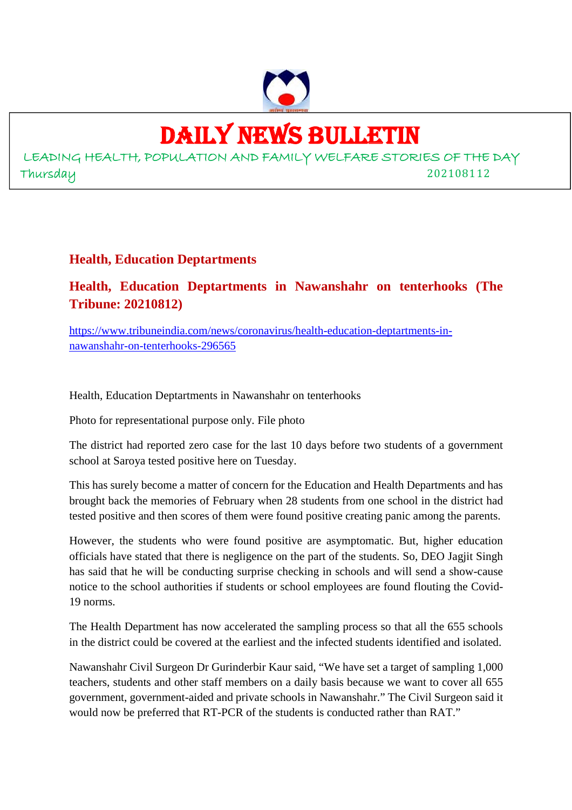

#### DAILY NEWS BULLETIN

LEADING HEALTH, POPULATION AND FAMILY WELFARE STORIES OF THE DAY Thursday 202108112

#### **Health, Education Deptartments**

**Health, Education Deptartments in Nawanshahr on tenterhooks (The Tribune: 20210812)**

https://www.tribuneindia.com/news/coronavirus/health-education-deptartments-innawanshahr-on-tenterhooks-296565

Health, Education Deptartments in Nawanshahr on tenterhooks

Photo for representational purpose only. File photo

The district had reported zero case for the last 10 days before two students of a government school at Saroya tested positive here on Tuesday.

This has surely become a matter of concern for the Education and Health Departments and has brought back the memories of February when 28 students from one school in the district had tested positive and then scores of them were found positive creating panic among the parents.

However, the students who were found positive are asymptomatic. But, higher education officials have stated that there is negligence on the part of the students. So, DEO Jagjit Singh has said that he will be conducting surprise checking in schools and will send a show-cause notice to the school authorities if students or school employees are found flouting the Covid-19 norms.

The Health Department has now accelerated the sampling process so that all the 655 schools in the district could be covered at the earliest and the infected students identified and isolated.

Nawanshahr Civil Surgeon Dr Gurinderbir Kaur said, "We have set a target of sampling 1,000 teachers, students and other staff members on a daily basis because we want to cover all 655 government, government-aided and private schools in Nawanshahr." The Civil Surgeon said it would now be preferred that RT-PCR of the students is conducted rather than RAT."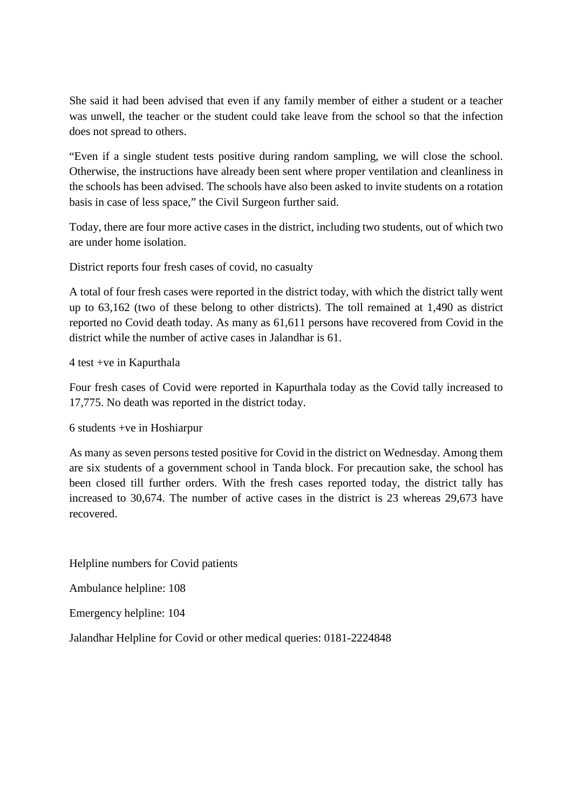She said it had been advised that even if any family member of either a student or a teacher was unwell, the teacher or the student could take leave from the school so that the infection does not spread to others.

"Even if a single student tests positive during random sampling, we will close the school. Otherwise, the instructions have already been sent where proper ventilation and cleanliness in the schools has been advised. The schools have also been asked to invite students on a rotation basis in case of less space," the Civil Surgeon further said.

Today, there are four more active cases in the district, including two students, out of which two are under home isolation.

District reports four fresh cases of covid, no casualty

A total of four fresh cases were reported in the district today, with which the district tally went up to 63,162 (two of these belong to other districts). The toll remained at 1,490 as district reported no Covid death today. As many as 61,611 persons have recovered from Covid in the district while the number of active cases in Jalandhar is 61.

4 test +ve in Kapurthala

Four fresh cases of Covid were reported in Kapurthala today as the Covid tally increased to 17,775. No death was reported in the district today.

6 students +ve in Hoshiarpur

As many as seven persons tested positive for Covid in the district on Wednesday. Among them are six students of a government school in Tanda block. For precaution sake, the school has been closed till further orders. With the fresh cases reported today, the district tally has increased to 30,674. The number of active cases in the district is 23 whereas 29,673 have recovered.

Helpline numbers for Covid patients

Ambulance helpline: 108

Emergency helpline: 104

Jalandhar Helpline for Covid or other medical queries: 0181-2224848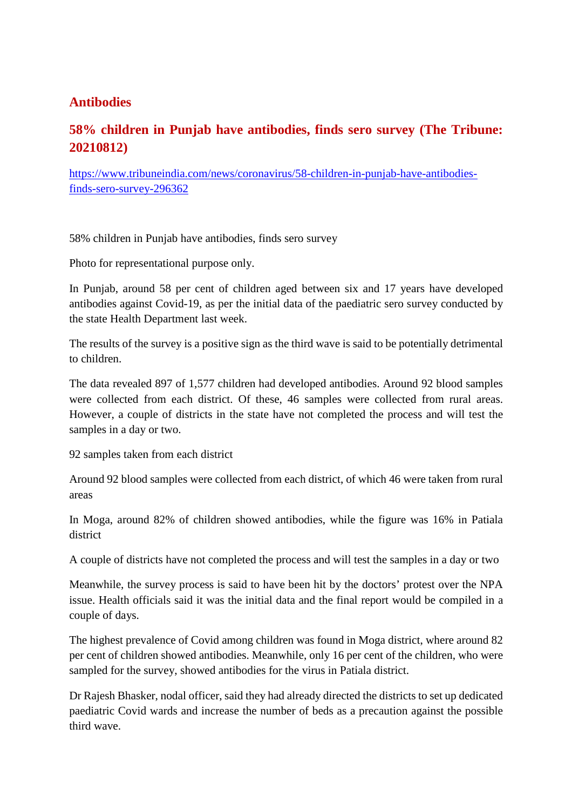#### **Antibodies**

#### **58% children in Punjab have antibodies, finds sero survey (The Tribune: 20210812)**

https://www.tribuneindia.com/news/coronavirus/58-children-in-punjab-have-antibodiesfinds-sero-survey-296362

58% children in Punjab have antibodies, finds sero survey

Photo for representational purpose only.

In Punjab, around 58 per cent of children aged between six and 17 years have developed antibodies against Covid-19, as per the initial data of the paediatric sero survey conducted by the state Health Department last week.

The results of the survey is a positive sign as the third wave is said to be potentially detrimental to children.

The data revealed 897 of 1,577 children had developed antibodies. Around 92 blood samples were collected from each district. Of these, 46 samples were collected from rural areas. However, a couple of districts in the state have not completed the process and will test the samples in a day or two.

92 samples taken from each district

Around 92 blood samples were collected from each district, of which 46 were taken from rural areas

In Moga, around 82% of children showed antibodies, while the figure was 16% in Patiala district

A couple of districts have not completed the process and will test the samples in a day or two

Meanwhile, the survey process is said to have been hit by the doctors' protest over the NPA issue. Health officials said it was the initial data and the final report would be compiled in a couple of days.

The highest prevalence of Covid among children was found in Moga district, where around 82 per cent of children showed antibodies. Meanwhile, only 16 per cent of the children, who were sampled for the survey, showed antibodies for the virus in Patiala district.

Dr Rajesh Bhasker, nodal officer, said they had already directed the districts to set up dedicated paediatric Covid wards and increase the number of beds as a precaution against the possible third wave.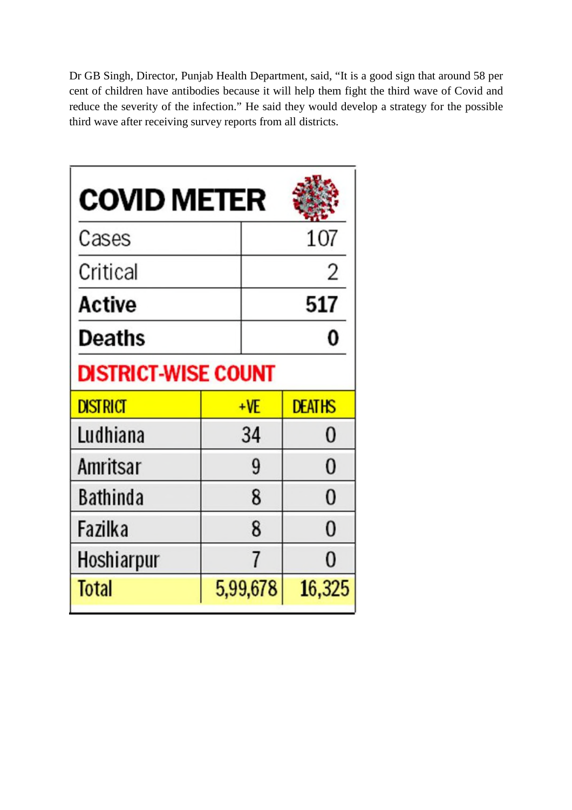Dr GB Singh, Director, Punjab Health Department, said, "It is a good sign that around 58 per cent of children have antibodies because it will help them fight the third wave of Covid and reduce the severity of the infection." He said they would develop a strategy for the possible third wave after receiving survey reports from all districts.

| <b>COVID METER</b>         |  |          |                |
|----------------------------|--|----------|----------------|
| Cases                      |  |          | 107            |
| Critical                   |  |          | 2              |
| Active                     |  | 517      |                |
| Deaths                     |  |          | 0              |
| <b>DISTRICT-WISE COUNT</b> |  |          |                |
| <b>DISTRICT</b>            |  | $+VE$    | <b>DEATHS</b>  |
| Ludhiana                   |  | 34       | 0              |
| Amritsar                   |  | 9        | 0              |
| Bathinda                   |  | 8        | $\overline{0}$ |
| Fazilka                    |  | 8        | $\overline{0}$ |
| Hoshiarpur                 |  | 7        | 0              |
| Total                      |  | 5,99,678 | 16,325         |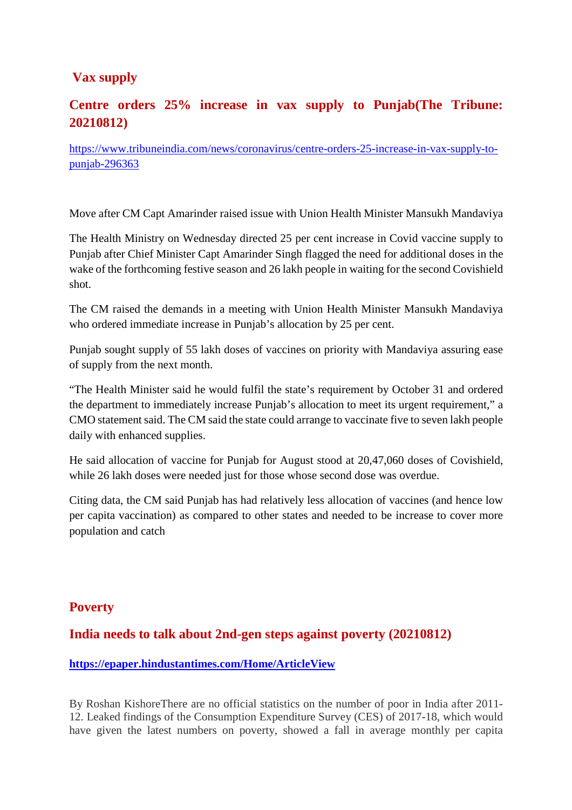#### **Vax supply**

#### **Centre orders 25% increase in vax supply to Punjab(The Tribune: 20210812)**

https://www.tribuneindia.com/news/coronavirus/centre-orders-25-increase-in-vax-supply-topunjab-296363

Move after CM Capt Amarinder raised issue with Union Health Minister Mansukh Mandaviya

The Health Ministry on Wednesday directed 25 per cent increase in Covid vaccine supply to Punjab after Chief Minister Capt Amarinder Singh flagged the need for additional doses in the wake of the forthcoming festive season and 26 lakh people in waiting for the second Covishield shot.

The CM raised the demands in a meeting with Union Health Minister Mansukh Mandaviya who ordered immediate increase in Punjab's allocation by 25 per cent.

Punjab sought supply of 55 lakh doses of vaccines on priority with Mandaviya assuring ease of supply from the next month.

"The Health Minister said he would fulfil the state's requirement by October 31 and ordered the department to immediately increase Punjab's allocation to meet its urgent requirement," a CMO statement said. The CM said the state could arrange to vaccinate five to seven lakh people daily with enhanced supplies.

He said allocation of vaccine for Punjab for August stood at 20,47,060 doses of Covishield, while 26 lakh doses were needed just for those whose second dose was overdue.

Citing data, the CM said Punjab has had relatively less allocation of vaccines (and hence low per capita vaccination) as compared to other states and needed to be increase to cover more population and catch

#### **Poverty**

#### **India needs to talk about 2nd-gen steps against poverty (20210812)**

#### **https://epaper.hindustantimes.com/Home/ArticleView**

By Roshan KishoreThere are no official statistics on the number of poor in India after 2011- 12. Leaked findings of the Consumption Expenditure Survey (CES) of 2017-18, which would have given the latest numbers on poverty, showed a fall in average monthly per capita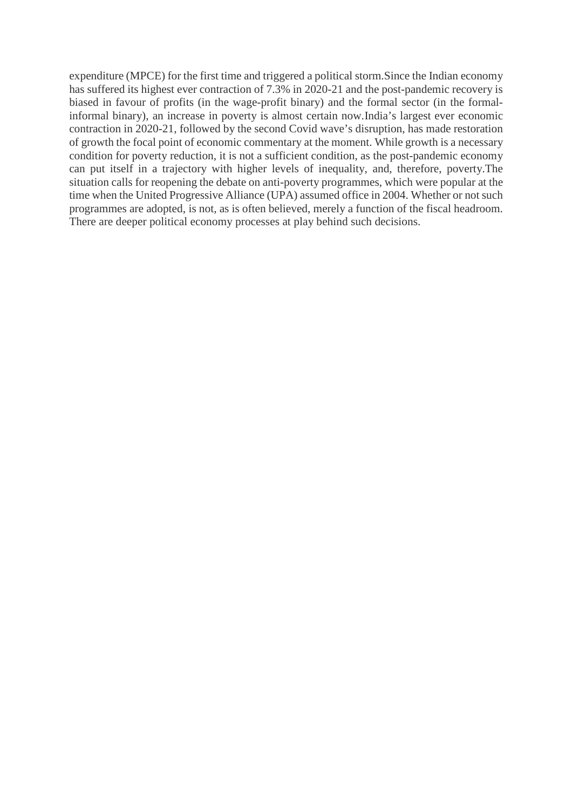expenditure (MPCE) for the first time and triggered a political storm.Since the Indian economy has suffered its highest ever contraction of 7.3% in 2020-21 and the post-pandemic recovery is biased in favour of profits (in the wage-profit binary) and the formal sector (in the formalinformal binary), an increase in poverty is almost certain now.India's largest ever economic contraction in 2020-21, followed by the second Covid wave's disruption, has made restoration of growth the focal point of economic commentary at the moment. While growth is a necessary condition for poverty reduction, it is not a sufficient condition, as the post-pandemic economy can put itself in a trajectory with higher levels of inequality, and, therefore, poverty.The situation calls for reopening the debate on anti-poverty programmes, which were popular at the time when the United Progressive Alliance (UPA) assumed office in 2004. Whether or not such programmes are adopted, is not, as is often believed, merely a function of the fiscal headroom. There are deeper political economy processes at play behind such decisions.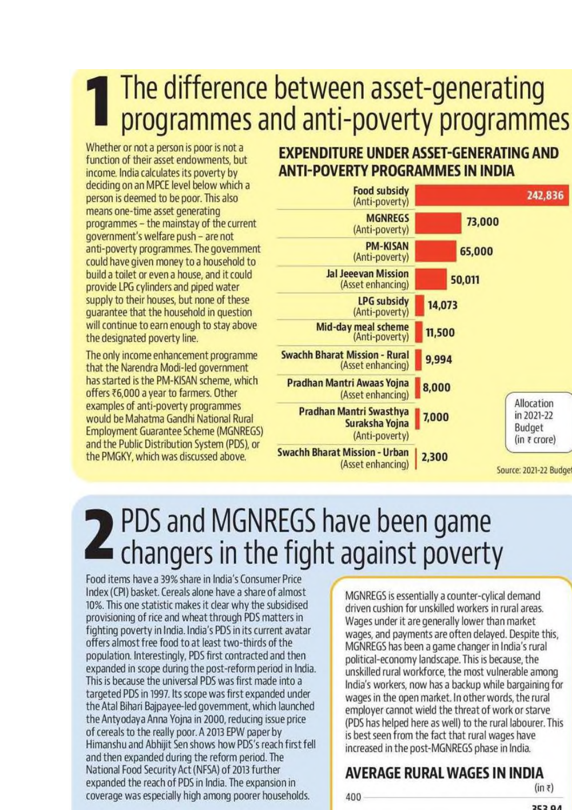# The difference between asset-generating<br>I programmes and anti-poverty programmes

Whether or not a person is poor is not a function of their asset endowments, but income, India calculates its poverty by deciding on an MPCE level below which a person is deemed to be poor. This also means one-time asset generating programmes - the mainstay of the current government's welfare push - are not anti-poverty programmes. The government could have given money to a household to build a toilet or even a house, and it could provide LPG cylinders and piped water supply to their houses, but none of these quarantee that the household in question will continue to earn enough to stay above the designated poverty line.

The only income enhancement programme that the Narendra Modi-led government has started is the PM-KISAN scheme, which offers ₹6,000 a year to farmers. Other examples of anti-poverty programmes would be Mahatma Gandhi National Rural **Employment Guarantee Scheme (MGNREGS)** and the Public Distribution System (PDS), or the PMGKY, which was discussed above.

#### **EXPENDITURE UNDER ASSET-GENERATING AND ANTI-POVERTY PROGRAMMES IN INDIA**



# 2 PDS and MGNREGS have been game<br>
changers in the fight against poverty

Food items have a 39% share in India's Consumer Price Index (CPI) basket. Cereals alone have a share of almost 10%. This one statistic makes it clear why the subsidised provisioning of rice and wheat through PDS matters in fighting poverty in India. India's PDS in its current avatar offers almost free food to at least two-thirds of the population. Interestingly, PDS first contracted and then expanded in scope during the post-reform period in India. This is because the universal PDS was first made into a targeted PDS in 1997. Its scope was first expanded under the Atal Bihari Bajpayee-led government, which launched the Antyodaya Anna Yojna in 2000, reducing issue price of cereals to the really poor. A 2013 EPW paper by Himanshu and Abhijit Sen shows how PDS's reach first fell and then expanded during the reform period. The National Food Security Act (NFSA) of 2013 further expanded the reach of PDS in India. The expansion in coverage was especially high among poorer households.

MGNREGS is essentially a counter-cylical demand driven cushion for unskilled workers in rural areas. Wages under it are generally lower than market wages, and payments are often delayed. Despite this, MGNREGS has been a game changer in India's rural political-economy landscape. This is because, the unskilled rural workforce, the most vulnerable among India's workers, now has a backup while bargaining for wages in the open market. In other words, the rural employer cannot wield the threat of work or starve (PDS has helped here as well) to the rural labourer. This is best seen from the fact that rural wages have increased in the post-MGNREGS phase in India.

#### AVERAGE RURAL WAGES IN INDIA  $(in \bar{z})$

400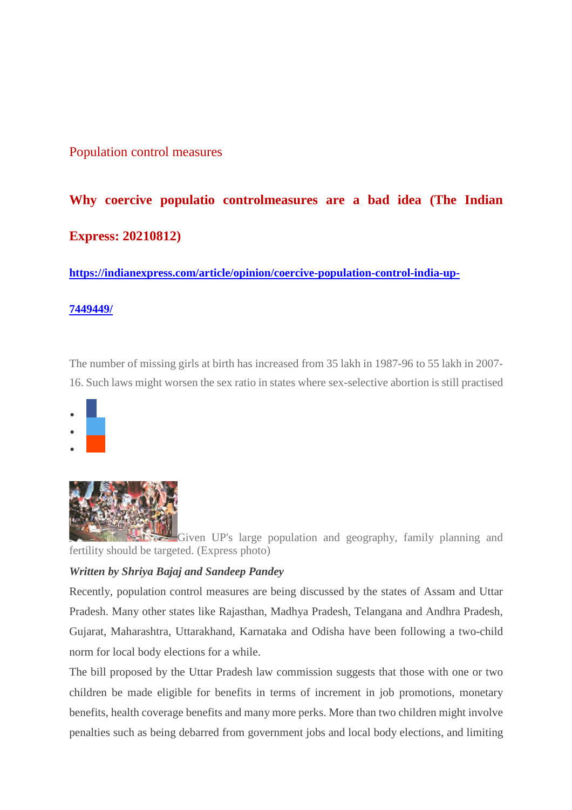#### Population control measures

#### **Why coercive populatio controlmeasures are a bad idea (The Indian Express: 20210812)**

**https://indianexpress.com/article/opinion/coercive-population-control-india-up-**

#### **7449449/**

The number of missing girls at birth has increased from 35 lakh in 1987-96 to 55 lakh in 2007- 16. Such laws might worsen the sex ratio in states where sex-selective abortion is still practised









Given UP's large population and geography, family planning and fertility should be targeted. (Express photo)

#### *Written by Shriya Bajaj and Sandeep Pandey*

Recently, population control measures are being discussed by the states of Assam and Uttar Pradesh. Many other states like Rajasthan, Madhya Pradesh, Telangana and Andhra Pradesh, Gujarat, Maharashtra, Uttarakhand, Karnataka and Odisha have been following a two-child norm for local body elections for a while.

The bill proposed by the Uttar Pradesh law commission suggests that those with one or two children be made eligible for benefits in terms of increment in job promotions, monetary benefits, health coverage benefits and many more perks. More than two children might involve penalties such as being debarred from government jobs and local body elections, and limiting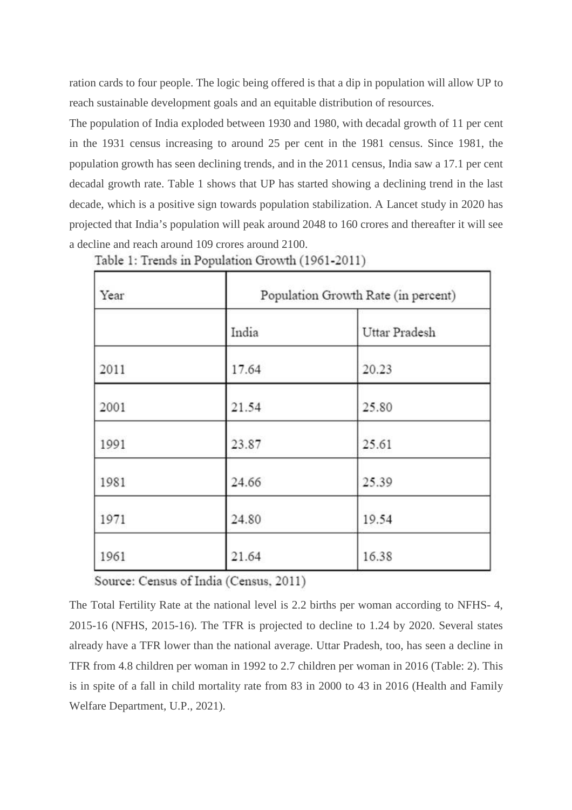ration cards to four people. The logic being offered is that a dip in population will allow UP to reach sustainable development goals and an equitable distribution of resources.

The population of India exploded between 1930 and 1980, with decadal growth of 11 per cent in the 1931 census increasing to around 25 per cent in the 1981 census. Since 1981, the population growth has seen declining trends, and in the 2011 census, India saw a 17.1 per cent decadal growth rate. Table 1 shows that UP has started showing a declining trend in the last decade, which is a positive sign towards population stabilization. A Lancet study in 2020 has projected that India's population will peak around 2048 to 160 crores and thereafter it will see a decline and reach around 109 crores around 2100.

| Year |       | Population Growth Rate (in percent) |
|------|-------|-------------------------------------|
|      | India | Uttar Pradesh                       |
| 2011 | 17.64 | 20.23                               |
| 2001 | 21.54 | 25.80                               |
| 1991 | 23.87 | 25.61                               |
| 1981 | 24.66 | 25.39                               |
| 1971 | 24.80 | 19.54                               |
| 1961 | 21.64 | 16.38                               |

Table 1: Trends in Population Growth (1961-2011)

Source: Census of India (Census, 2011)

The Total Fertility Rate at the national level is 2.2 births per woman according to NFHS- 4, 2015-16 (NFHS, 2015-16). The TFR is projected to decline to 1.24 by 2020. Several states already have a TFR lower than the national average. Uttar Pradesh, too, has seen a decline in TFR from 4.8 children per woman in 1992 to 2.7 children per woman in 2016 (Table: 2). This is in spite of a fall in child mortality rate from 83 in 2000 to 43 in 2016 (Health and Family Welfare Department, U.P., 2021).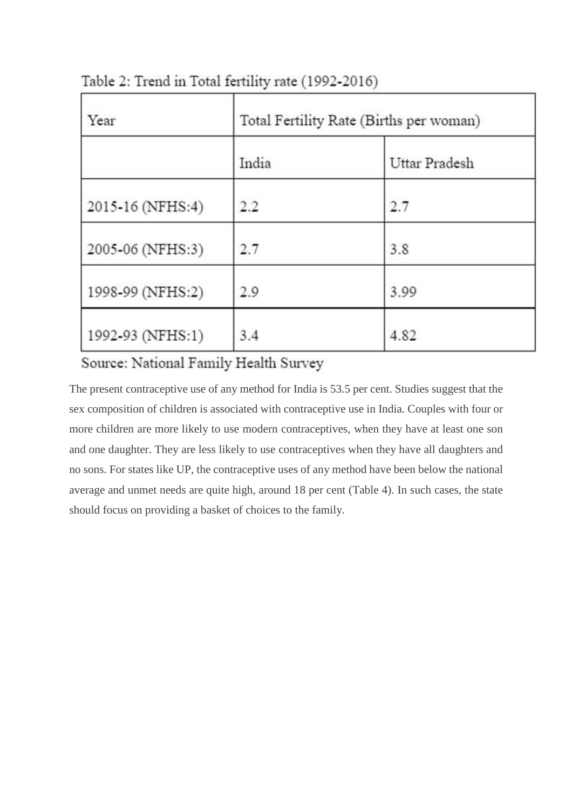| Year             | Total Fertility Rate (Births per woman) |               |  |
|------------------|-----------------------------------------|---------------|--|
|                  | India                                   | Uttar Pradesh |  |
| 2015-16 (NFHS:4) | 2.2                                     | 2.7           |  |
| 2005-06 (NFHS:3) | 2.7                                     | 3.8           |  |
| 1998-99 (NFHS:2) | 2.9                                     | 3.99          |  |
| 1992-93 (NFHS:1) | 3.4                                     | 4.82          |  |

Table 2: Trend in Total fertility rate (1992-2016)

#### Source: National Family Health Survey

The present contraceptive use of any method for India is 53.5 per cent. Studies suggest that the sex composition of children is associated with contraceptive use in India. Couples with four or more children are more likely to use modern contraceptives, when they have at least one son and one daughter. They are less likely to use contraceptives when they have all daughters and no sons. For states like UP, the contraceptive uses of any method have been below the national average and unmet needs are quite high, around 18 per cent (Table 4). In such cases, the state should focus on providing a basket of choices to the family.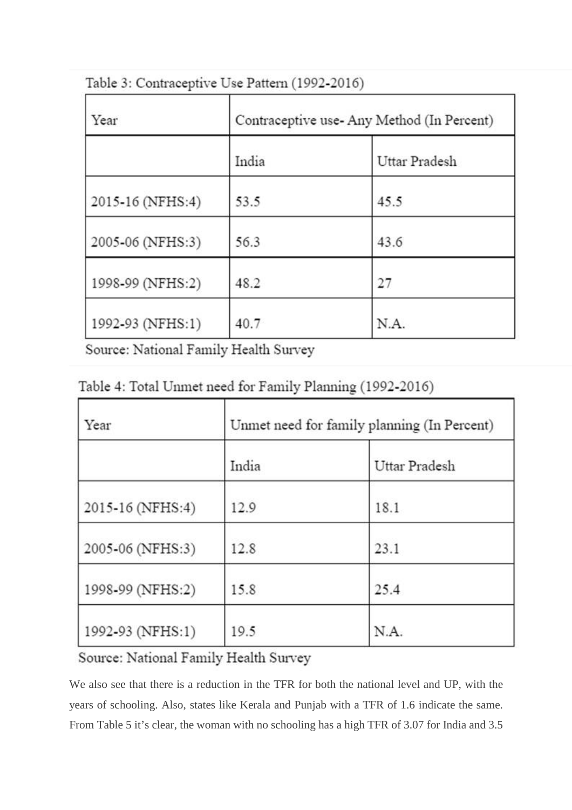| Year             | Contraceptive use-Any Method (In Percent) |               |
|------------------|-------------------------------------------|---------------|
|                  | India                                     | Uttar Pradesh |
| 2015-16 (NFHS:4) | 53.5                                      | 45.5          |
| 2005-06 (NFHS:3) | 56.3                                      | 43.6          |
| 1998-99 (NFHS:2) | 48.2                                      | 27            |
| 1992-93 (NFHS:1) | 40.7                                      | N.A.          |

Table 3: Contraceptive Use Pattern (1992-2016)

Source: National Family Health Survey

| Table 4: Total Unmet need for Family Planning (1992-2016) |  |  |
|-----------------------------------------------------------|--|--|
|-----------------------------------------------------------|--|--|

| Year             | Unmet need for family planning (In Percent) |               |
|------------------|---------------------------------------------|---------------|
|                  | India                                       | Uttar Pradesh |
| 2015-16 (NFHS:4) | 12.9                                        | 18.1          |
| 2005-06 (NFHS:3) | 12.8                                        | 23.1          |
| 1998-99 (NFHS:2) | 15.8                                        | 25.4          |
| 1992-93 (NFHS:1) | 19.5                                        | N.A.          |

#### Source: National Family Health Survey

We also see that there is a reduction in the TFR for both the national level and UP, with the years of schooling. Also, states like Kerala and Punjab with a TFR of 1.6 indicate the same. From Table 5 it's clear, the woman with no schooling has a high TFR of 3.07 for India and 3.5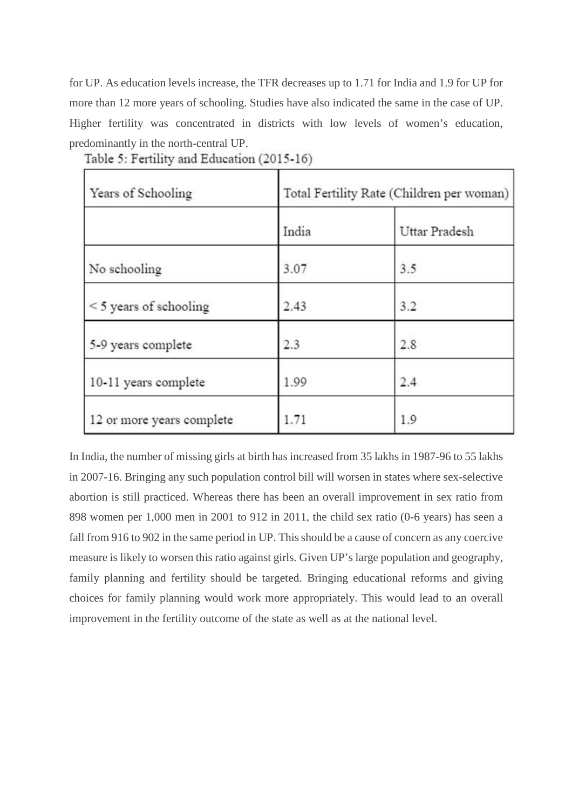for UP. As education levels increase, the TFR decreases up to 1.71 for India and 1.9 for UP for more than 12 more years of schooling. Studies have also indicated the same in the case of UP. Higher fertility was concentrated in districts with low levels of women's education, predominantly in the north-central UP.

| Years of Schooling          | Total Fertility Rate (Children per woman) |               |  |
|-----------------------------|-------------------------------------------|---------------|--|
|                             | India                                     | Uttar Pradesh |  |
| No schooling                | 3.07                                      | 3.5           |  |
| $\leq$ 5 years of schooling | 2.43                                      | 3.2           |  |
| 5-9 years complete          | 2.3                                       | 2.8           |  |
| 10-11 years complete        | 1.99                                      | 2.4           |  |
| 12 or more years complete   | 1.71                                      | 1.9           |  |

Table 5: Fertility and Education (2015-16)

In India, the number of missing girls at birth has increased from 35 lakhs in 1987-96 to 55 lakhs in 2007-16. Bringing any such population control bill will worsen in states where sex-selective abortion is still practiced. Whereas there has been an overall improvement in sex ratio from 898 women per 1,000 men in 2001 to 912 in 2011, the child sex ratio (0-6 years) has seen a fall from 916 to 902 in the same period in UP. This should be a cause of concern as any coercive measure is likely to worsen this ratio against girls. Given UP's large population and geography, family planning and fertility should be targeted. Bringing educational reforms and giving choices for family planning would work more appropriately. This would lead to an overall improvement in the fertility outcome of the state as well as at the national level.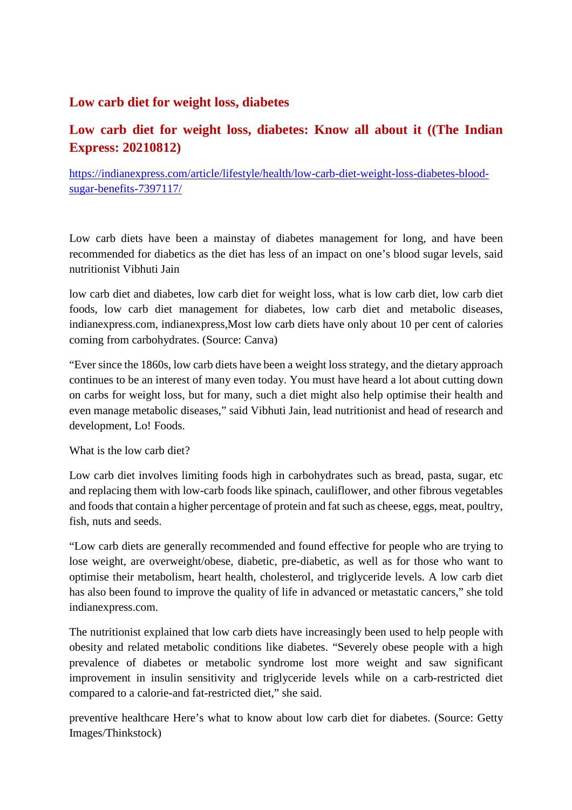#### **Low carb diet for weight loss, diabetes**

#### **Low carb diet for weight loss, diabetes: Know all about it ((The Indian Express: 20210812)**

https://indianexpress.com/article/lifestyle/health/low-carb-diet-weight-loss-diabetes-bloodsugar-benefits-7397117/

Low carb diets have been a mainstay of diabetes management for long, and have been recommended for diabetics as the diet has less of an impact on one's blood sugar levels, said nutritionist Vibhuti Jain

low carb diet and diabetes, low carb diet for weight loss, what is low carb diet, low carb diet foods, low carb diet management for diabetes, low carb diet and metabolic diseases, indianexpress.com, indianexpress,Most low carb diets have only about 10 per cent of calories coming from carbohydrates. (Source: Canva)

"Ever since the 1860s, low carb diets have been a weight loss strategy, and the dietary approach continues to be an interest of many even today. You must have heard a lot about cutting down on carbs for weight loss, but for many, such a diet might also help optimise their health and even manage metabolic diseases," said Vibhuti Jain, lead nutritionist and head of research and development, Lo! Foods.

What is the low carb diet?

Low carb diet involves limiting foods high in carbohydrates such as bread, pasta, sugar, etc and replacing them with low-carb foods like spinach, cauliflower, and other fibrous vegetables and foods that contain a higher percentage of protein and fat such as cheese, eggs, meat, poultry, fish, nuts and seeds.

"Low carb diets are generally recommended and found effective for people who are trying to lose weight, are overweight/obese, diabetic, pre-diabetic, as well as for those who want to optimise their metabolism, heart health, cholesterol, and triglyceride levels. A low carb diet has also been found to improve the quality of life in advanced or metastatic cancers," she told indianexpress.com.

The nutritionist explained that low carb diets have increasingly been used to help people with obesity and related metabolic conditions like diabetes. "Severely obese people with a high prevalence of diabetes or metabolic syndrome lost more weight and saw significant improvement in insulin sensitivity and triglyceride levels while on a carb-restricted diet compared to a calorie-and fat-restricted diet," she said.

preventive healthcare Here's what to know about low carb diet for diabetes. (Source: Getty Images/Thinkstock)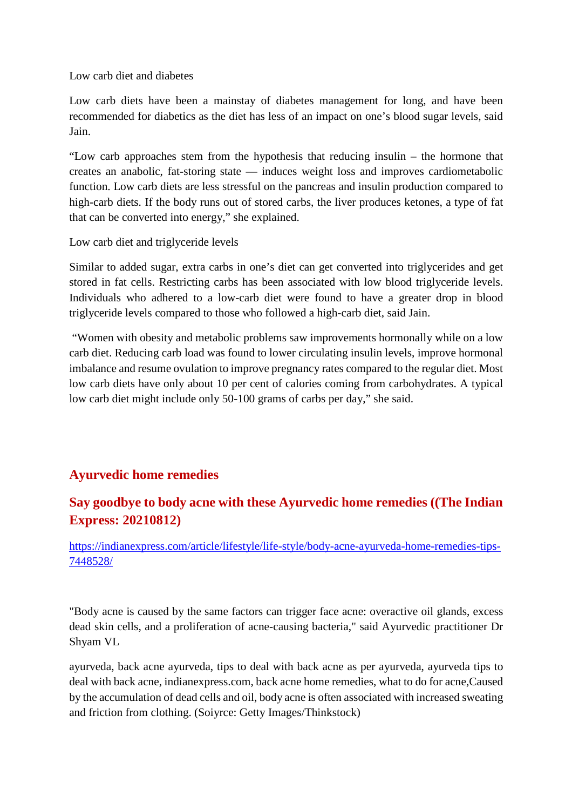Low carb diet and diabetes

Low carb diets have been a mainstay of diabetes management for long, and have been recommended for diabetics as the diet has less of an impact on one's blood sugar levels, said Jain.

"Low carb approaches stem from the hypothesis that reducing insulin – the hormone that creates an anabolic, fat-storing state — induces weight loss and improves cardiometabolic function. Low carb diets are less stressful on the pancreas and insulin production compared to high-carb diets. If the body runs out of stored carbs, the liver produces ketones, a type of fat that can be converted into energy," she explained.

Low carb diet and triglyceride levels

Similar to added sugar, extra carbs in one's diet can get converted into triglycerides and get stored in fat cells. Restricting carbs has been associated with low blood triglyceride levels. Individuals who adhered to a low-carb diet were found to have a greater drop in blood triglyceride levels compared to those who followed a high-carb diet, said Jain.

"Women with obesity and metabolic problems saw improvements hormonally while on a low carb diet. Reducing carb load was found to lower circulating insulin levels, improve hormonal imbalance and resume ovulation to improve pregnancy rates compared to the regular diet. Most low carb diets have only about 10 per cent of calories coming from carbohydrates. A typical low carb diet might include only 50-100 grams of carbs per day," she said.

#### **Ayurvedic home remedies**

#### **Say goodbye to body acne with these Ayurvedic home remedies ((The Indian Express: 20210812)**

https://indianexpress.com/article/lifestyle/life-style/body-acne-ayurveda-home-remedies-tips-7448528/

"Body acne is caused by the same factors can trigger face acne: overactive oil glands, excess dead skin cells, and a proliferation of acne-causing bacteria," said Ayurvedic practitioner Dr Shyam VL

ayurveda, back acne ayurveda, tips to deal with back acne as per ayurveda, ayurveda tips to deal with back acne, indianexpress.com, back acne home remedies, what to do for acne,Caused by the accumulation of dead cells and oil, body acne is often associated with increased sweating and friction from clothing. (Soiyrce: Getty Images/Thinkstock)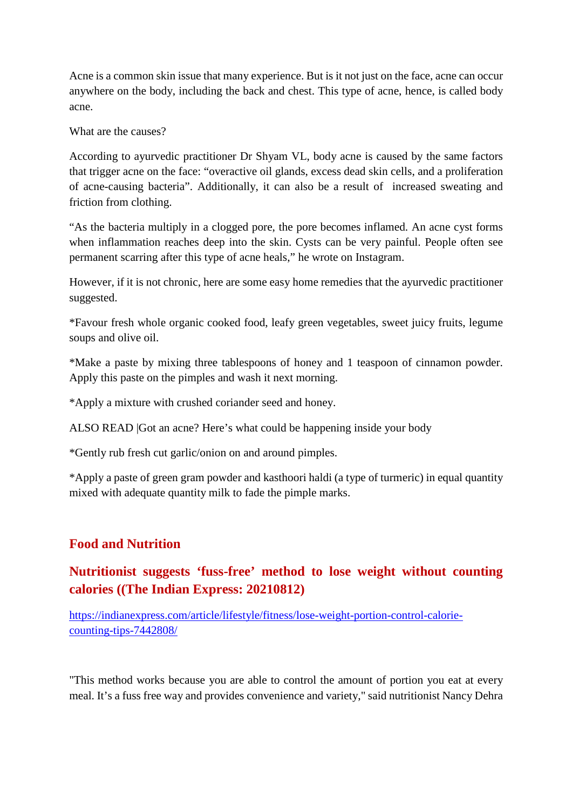Acne is a common skin issue that many experience. But is it not just on the face, acne can occur anywhere on the body, including the back and chest. This type of acne, hence, is called body acne.

What are the causes?

According to ayurvedic practitioner Dr Shyam VL, body acne is caused by the same factors that trigger acne on the face: "overactive oil glands, excess dead skin cells, and a proliferation of acne-causing bacteria". Additionally, it can also be a result of increased sweating and friction from clothing.

"As the bacteria multiply in a clogged pore, the pore becomes inflamed. An acne cyst forms when inflammation reaches deep into the skin. Cysts can be very painful. People often see permanent scarring after this type of acne heals," he wrote on Instagram.

However, if it is not chronic, here are some easy home remedies that the ayurvedic practitioner suggested.

\*Favour fresh whole organic cooked food, leafy green vegetables, sweet juicy fruits, legume soups and olive oil.

\*Make a paste by mixing three tablespoons of honey and 1 teaspoon of cinnamon powder. Apply this paste on the pimples and wash it next morning.

\*Apply a mixture with crushed coriander seed and honey.

ALSO READ |Got an acne? Here's what could be happening inside your body

\*Gently rub fresh cut garlic/onion on and around pimples.

\*Apply a paste of green gram powder and kasthoori haldi (a type of turmeric) in equal quantity mixed with adequate quantity milk to fade the pimple marks.

#### **Food and Nutrition**

#### **Nutritionist suggests 'fuss-free' method to lose weight without counting calories ((The Indian Express: 20210812)**

https://indianexpress.com/article/lifestyle/fitness/lose-weight-portion-control-caloriecounting-tips-7442808/

"This method works because you are able to control the amount of portion you eat at every meal. It's a fuss free way and provides convenience and variety," said nutritionist Nancy Dehra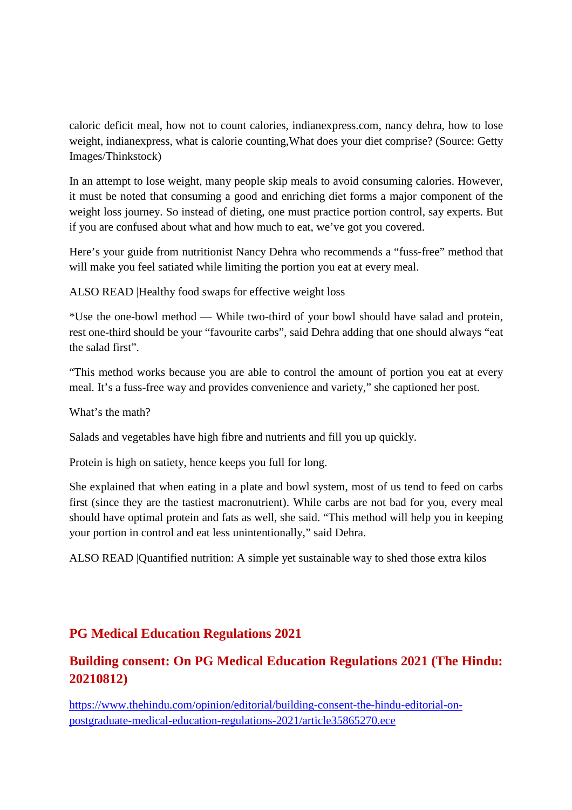caloric deficit meal, how not to count calories, indianexpress.com, nancy dehra, how to lose weight, indianexpress, what is calorie counting,What does your diet comprise? (Source: Getty Images/Thinkstock)

In an attempt to lose weight, many people skip meals to avoid consuming calories. However, it must be noted that consuming a good and enriching diet forms a major component of the weight loss journey. So instead of dieting, one must practice portion control, say experts. But if you are confused about what and how much to eat, we've got you covered.

Here's your guide from nutritionist Nancy Dehra who recommends a "fuss-free" method that will make you feel satiated while limiting the portion you eat at every meal.

ALSO READ |Healthy food swaps for effective weight loss

\*Use the one-bowl method — While two-third of your bowl should have salad and protein, rest one-third should be your "favourite carbs", said Dehra adding that one should always "eat the salad first".

"This method works because you are able to control the amount of portion you eat at every meal. It's a fuss-free way and provides convenience and variety," she captioned her post.

What's the math?

Salads and vegetables have high fibre and nutrients and fill you up quickly.

Protein is high on satiety, hence keeps you full for long.

She explained that when eating in a plate and bowl system, most of us tend to feed on carbs first (since they are the tastiest macronutrient). While carbs are not bad for you, every meal should have optimal protein and fats as well, she said. "This method will help you in keeping your portion in control and eat less unintentionally," said Dehra.

ALSO READ |Quantified nutrition: A simple yet sustainable way to shed those extra kilos

#### **PG Medical Education Regulations 2021**

#### **Building consent: On PG Medical Education Regulations 2021 (The Hindu: 20210812)**

https://www.thehindu.com/opinion/editorial/building-consent-the-hindu-editorial-onpostgraduate-medical-education-regulations-2021/article35865270.ece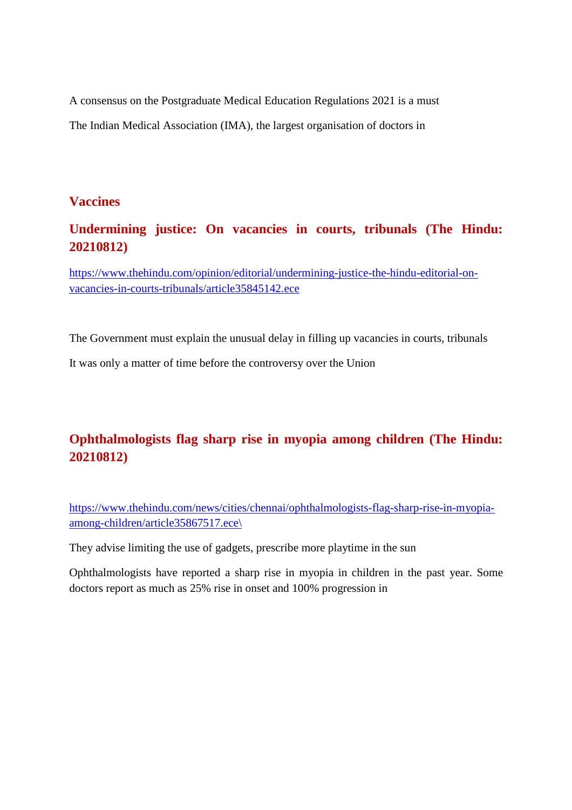A consensus on the Postgraduate Medical Education Regulations 2021 is a must

The Indian Medical Association (IMA), the largest organisation of doctors in

#### **Vaccines**

#### **Undermining justice: On vacancies in courts, tribunals (The Hindu: 20210812)**

https://www.thehindu.com/opinion/editorial/undermining-justice-the-hindu-editorial-onvacancies-in-courts-tribunals/article35845142.ece

The Government must explain the unusual delay in filling up vacancies in courts, tribunals

It was only a matter of time before the controversy over the Union

#### **Ophthalmologists flag sharp rise in myopia among children (The Hindu: 20210812)**

https://www.thehindu.com/news/cities/chennai/ophthalmologists-flag-sharp-rise-in-myopiaamong-children/article35867517.ece\

They advise limiting the use of gadgets, prescribe more playtime in the sun

Ophthalmologists have reported a sharp rise in myopia in children in the past year. Some doctors report as much as 25% rise in onset and 100% progression in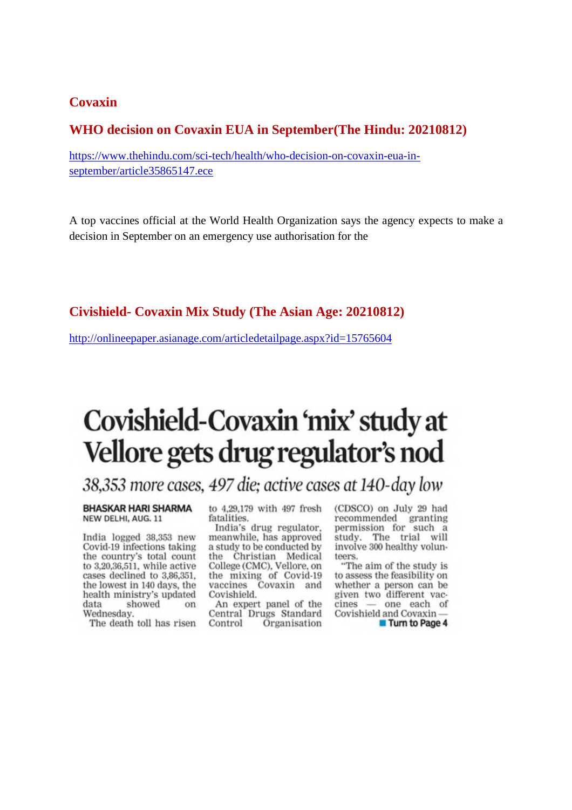#### **Covaxin**

#### **WHO decision on Covaxin EUA in September(The Hindu: 20210812)**

https://www.thehindu.com/sci-tech/health/who-decision-on-covaxin-eua-inseptember/article35865147.ece

A top vaccines official at the World Health Organization says the agency expects to make a decision in September on an emergency use authorisation for the

#### **Civishield- Covaxin Mix Study (The Asian Age: 20210812)**

http://onlineepaper.asianage.com/articledetailpage.aspx?id=15765604

#### Covishield-Covaxin 'mix' study at Vellore gets drug regulator's nod

#### 38,353 more cases, 497 die; active cases at 140-day low

**BHASKAR HARI SHARMA** NEW DELHI, AUG. 11

India logged 38,353 new Covid-19 infections taking the country's total count to 3,20,36,511, while active cases declined to 3,86,351. the lowest in 140 days, the health ministry's updated data showed on Wednesday.

The death toll has risen

to 4,29,179 with 497 fresh fatalities.

India's drug regulator, meanwhile, has approved a study to be conducted by the Christian Medical<br>College (CMC), Vellore, on the mixing of Covid-19 vaccines Covaxin and Covishield.

An expert panel of the Central Drugs Standard Control Organisation

(CDSCO) on July 29 had recommended granting<br>permission for such a study. The trial will involve 300 healthy volunteers.

"The aim of the study is to assess the feasibility on whether a person can be given two different vaccines - one each of Covishield and Covaxin-

**Turn to Page 4**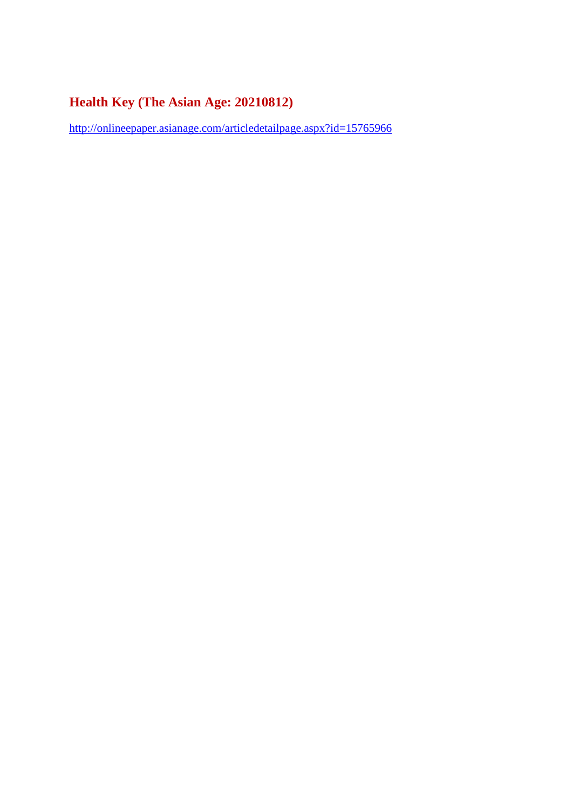#### **Health Key (The Asian Age: 20210812)**

http://onlineepaper.asianage.com/articledetailpage.aspx?id=15765966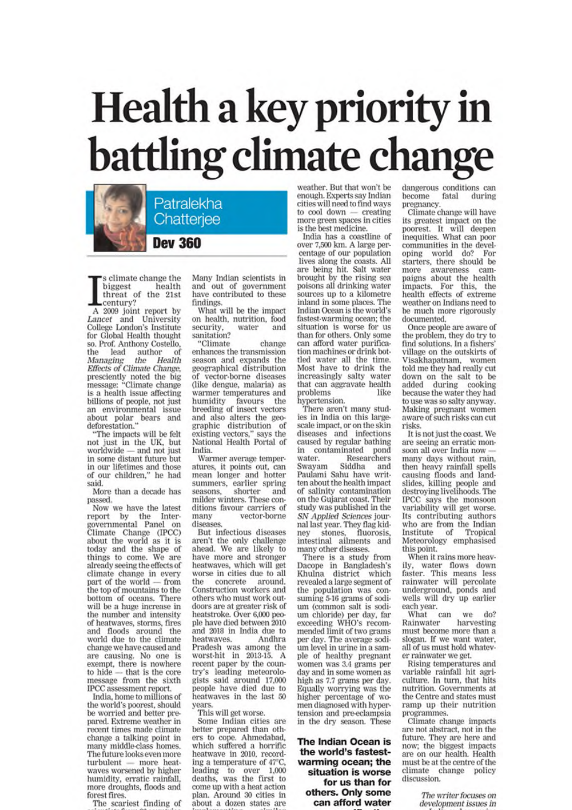# Health a key priority in<br>battling climate change



s climate change the biggest health threat of the 21st century?

A 2009 joint report by Lancet and University<br>College London's Institute for Global Health thought so. Prof. Anthony Costello, author the lead of Managing Health the Effects of Climate Change, presciently noted the big<br>message: "Climate change<br>is a health issue affecting billions of people, not just an environmental issue about polar bears and<br>deforestation."

"The impacts will be felt<br>not just in the UK, but worldwide - and not just in some distant future but in our lifetimes and those<br>of our children," he had said.

More than a decade has passed.

Now we have the latest report by the Inter-<br>governmental Panel on<br>Climate Change (IPCC) about the world as it is today and the shape of things to come. We are<br>already seeing the effects of climate change in every part of the world — from the top of mountains to the bottom of oceans. There will be a huge increase in the number and intensity of heatwaves, storms, fires and floods around the world due to the climate change we have caused and are causing. No one is exempt, there is nowhere - that is the core to hide message from the sixth IPCC assessment report.

India, home to millions of the world's poorest, should be worried and better prepared. Extreme weather in recent times made climate change a talking point in many middle-class homes. The future looks even more turbulent - more heatwaves worsened by higher humidity, erratic rainfall, more droughts, floods and forest fires.

The scariest finding of

Many Indian scientists in and out of government have contributed to these findings.

What will be the impact on health, nutrition, food security. water and sanitation?

"Climate change enhances the transmission season and expands the geographical distribution of vector-borne diseases (like dengue, malaria) as warmer temperatures and humidity favours the<br>breeding of insect vectors and also alters the geographic distribution of existing vectors," says the National Health Portal of India.

Warmer average temperatures, it points out, can mean longer and hotter summers, earlier spring shorter seasons, and milder winters. These conditions favour carriers of vector-borne many diseases.

But infectious diseases aren't the only challenge<br>ahead. We are likely to have more and stronger heatwaves, which will get worse in cities due to all the concrete around. Construction workers and others who must work outdoors are at greater risk of heatstroke. Over 6,000 people have died between 2010 and 2018 in India due to heatwaves. Andhra Pradesh was among the worst-hit in 2013-15. A recent paper by the country's leading meteorologists said around 17,000 people have died due to heatwaves in the last 50 years.

This will get worse.

Some Indian cities are better prepared than others to cope. Ahmedabad, which suffered a horrific heatwave in 2010, recording a temperature of 47°C, leading to over 1,000 deaths, was the first to come up with a heat action plan. Around 30 cities in about a dozen states are

weather. But that won't be<br>enough. Experts say Indian cities will need to find ways to cool down creating more green spaces in cities is the best medicine.

India has a coastline of over 7,500 km. A large percentage of our population lives along the coasts. All are being hit. Salt water brought by the rising sea poisons all drinking water sources up to a kilometre inland in some places. The Indian Ocean is the world's fastest-warming ocean; the situation is worse for us than for others. Only some can afford water purification machines or drink bottled water all the time. Most have to drink the increasingly salty water that can aggravate health problems like hypertension.

There aren't many studies in India on this largescale impact, or on the skin diseases and infections caused by regular bathing in contaminated pond water. Researchers Siddha Swayam and Paulami Sahu have written about the health impact of salinity contamination on the Gujarat coast. Their study was published in the SN Applied Sciences journal last year. They flag kid-<br>nev stones, fluorosis, intestinal ailments and<br>many other diseases.

There is a study from<br>Dacope in Bangladesh's Khulna district which revealed a large segment of the population was consuming 5-16 grams of sodium (common salt is sodium chloride) per day, far exceeding WHO's recommended limit of two grams per day. The average sodium level in urine in a sample of healthy pregnant women was 3.4 grams per day and in some women as high as 7.7 grams per day. Equally worrying was the higher percentage of women diagnosed with hypertension and pre-eclampsia in the dry season. These

The Indian Ocean is the world's fastestwarming ocean; the situation is worse for us than for others. Only some can afford water

dangerous conditions can become fatal during pregnancy.

Climate change will have its greatest impact on the poorest. It will deepen inequities. What can poor communities in the developing world do? For<br>starters, there should be more awareness campaigns about the health impacts. For this, the<br>health effects of extreme weather on Indians need to be much more rigorously documented.

Once people are aware of the problem, they do try to find solutions. In a fishers' village on the outskirts of Visakhapatnam, women told me they had really cut down on the salt to be added during cooking because the water they had to use was so salty anyway. Making pregnant women aware of such risks can cut risks.

It is not just the coast. We are seeing an erratic monsoon all over India now many days without rain, then heavy rainfall spells causing floods and landslides, killing people and destroying livelihoods. The IPCC says the monsoon variability will get worse. Its contributing authors who are from the Indian Institute of Tropical Meteorology emphasised this point.

When it rains more heavily, water flows down<br>faster. This means less rainwater will percolate underground, ponds and<br>wells will dry up earlier each year.

What can we  $do?$ harvesting Rainwater must become more than a slogan. If we want water, all of us must hold whatever rainwater we get.

Rising temperatures and variable rainfall hit agriculture. In turn, that hits nutrition. Governments at the Centre and states must ramp up their nutrition programmes.

Climate change impacts are not abstract, not in the future. They are here and now; the biggest impacts are on our health. Health must be at the centre of the climate change policy discussion.

> The writer focuses on development issues in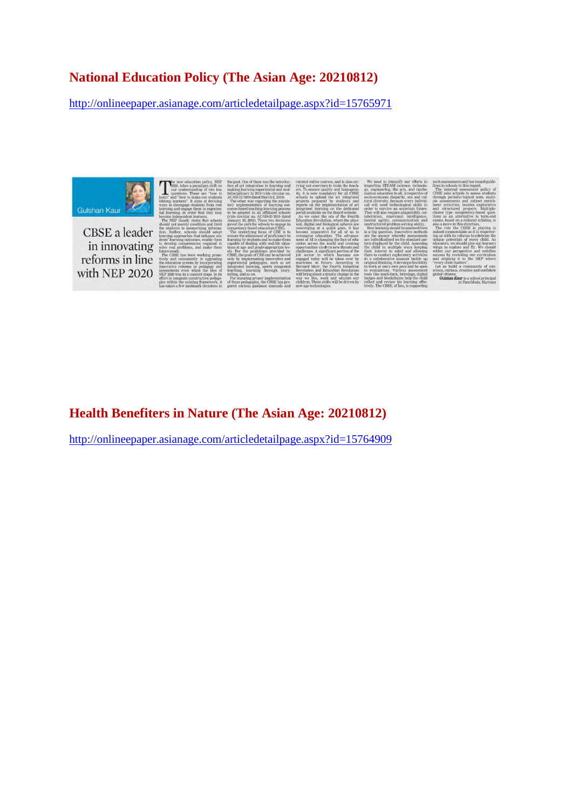#### **National Education Policy (The Asian Age: 20210812)**

http://onlineepaper.asianage.com/articledetailpage.aspx?id=15765971

Gulshan Kaur

CBSE a leader in innovating reforms in line with NEP 2020

#### **Health Benefiters in Nature (The Asian Age: 20210812)**

http://onlineepaper.asianage.com/articledetailpage.aspx?id=15764909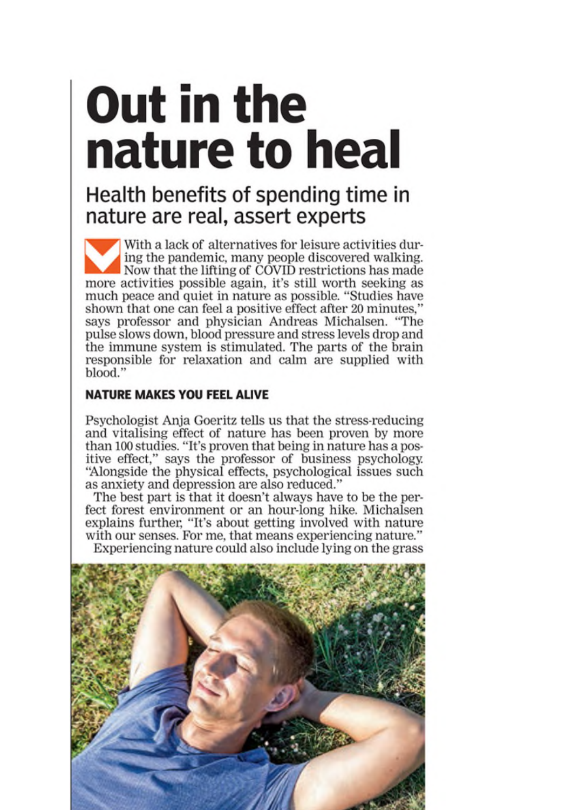### **Out in the** nature to heal

#### Health benefits of spending time in nature are real, assert experts

With a lack of alternatives for leisure activities during the pandemic, many people discovered walking. Now that the lifting of COVID restrictions has made more activities possible again, it's still worth seeking as much peace and quiet in nature as possible. "Studies have shown that one can feel a positive effect after 20 minutes," says professor and physician Andreas Michalsen. "The pulse slows down, blood pressure and stress levels drop and the immune system is stimulated. The parts of the brain responsible for relaxation and calm are supplied with blood."

#### **NATURE MAKES YOU FEEL ALIVE**

Psychologist Anja Goeritz tells us that the stress-reducing and vitalising effect of nature has been proven by more than 100 studies. "It's proven that being in nature has a positive effect," says the professor of business psychology. "Alongside the physical effects, psychological issues such as anxiety and depression are also reduced."

The best part is that it doesn't always have to be the perfect forest environment or an hour-long hike. Michalsen explains further, "It's about getting involved with nature<br>with our senses. For me, that means experiencing nature." Experiencing nature could also include lying on the grass

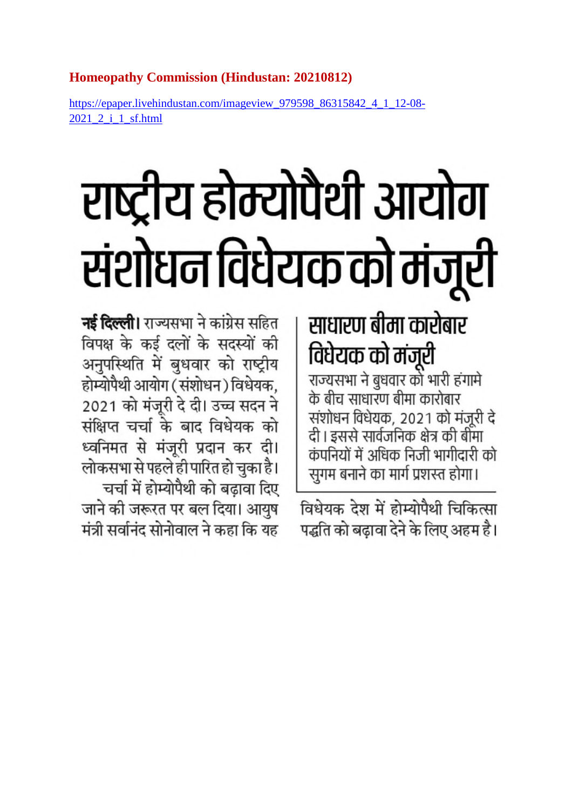#### **Homeopathy Commission (Hindustan: 20210812)**

https://epaper.livehindustan.com/imageview\_979598\_86315842\_4\_1\_12-08- 2021\_2\_i\_1\_sf.html

# राष्ट्रीय होम्योपैथी आयोग संशोधन विधेयक को मंजूरी

#### साधारण बीमा कारोबार विधेयक को मंजूरी

राज्यसभा ने बुधवार को भारी हंगामे के बीच साधारण बीमा कारोबार संशोधन विधेयक, 2021 को मंजूरी दे दी। इससे सार्वजनिक क्षेत्र की बीमा कंपनियों में अधिक निजी भागीदारी को सुगम बनाने का मार्ग प्रशस्त होगा।

विधेयक देश में होम्योपैथी चिकित्सा पद्धति को बढावा देने के लिए अहम है।

**नई दिल्ली।** राज्यसभा ने कांग्रेस सहित विपक्ष के कई दलों के सदस्यों की अनुपस्थिति में बुधवार को राष्ट्रीय होम्योपैथी आयोग (संशोधन) विधेयक, 2021 को मंजूरी दे दी। उच्च सदन ने संक्षिप्त चर्चा के बाद विधेयक को ध्वनिमत से मंजूरी प्रदान कर दी। लोकसभा से पहले ही पारित हो चुका है। चर्चा में होम्योपैथी को बढ़ावा दिए जाने की जरूरत पर बल दिया। आयुष मंत्री सर्वानंद सोनोवाल ने कहा कि यह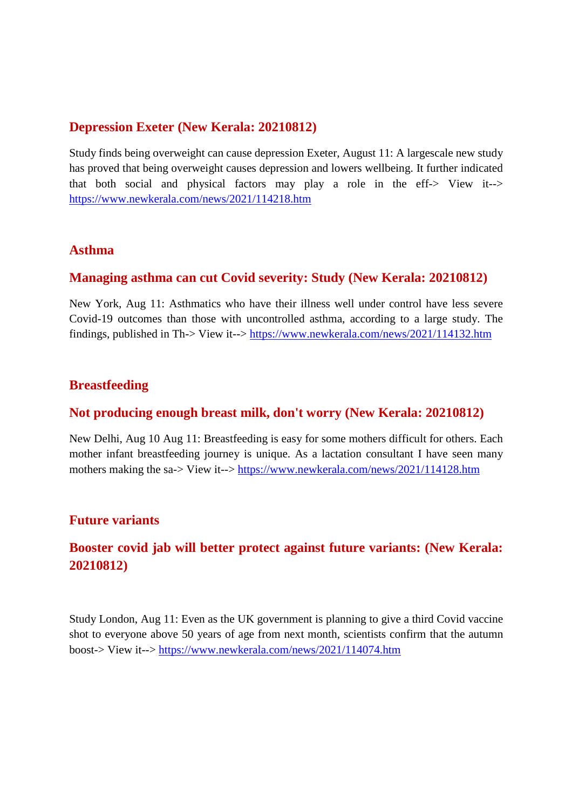#### **Depression Exeter (New Kerala: 20210812)**

Study finds being overweight can cause depression Exeter, August 11: A largescale new study has proved that being overweight causes depression and lowers wellbeing. It further indicated that both social and physical factors may play a role in the eff-> View it--> https://www.newkerala.com/news/2021/114218.htm

#### **Asthma**

#### **Managing asthma can cut Covid severity: Study (New Kerala: 20210812)**

New York, Aug 11: Asthmatics who have their illness well under control have less severe Covid-19 outcomes than those with uncontrolled asthma, according to a large study. The findings, published in Th-> View it--> https://www.newkerala.com/news/2021/114132.htm

#### **Breastfeeding**

#### **Not producing enough breast milk, don't worry (New Kerala: 20210812)**

New Delhi, Aug 10 Aug 11: Breastfeeding is easy for some mothers difficult for others. Each mother infant breastfeeding journey is unique. As a lactation consultant I have seen many mothers making the sa-> View it--> https://www.newkerala.com/news/2021/114128.htm

#### **Future variants**

#### **Booster covid jab will better protect against future variants: (New Kerala: 20210812)**

Study London, Aug 11: Even as the UK government is planning to give a third Covid vaccine shot to everyone above 50 years of age from next month, scientists confirm that the autumn boost-> View it--> https://www.newkerala.com/news/2021/114074.htm